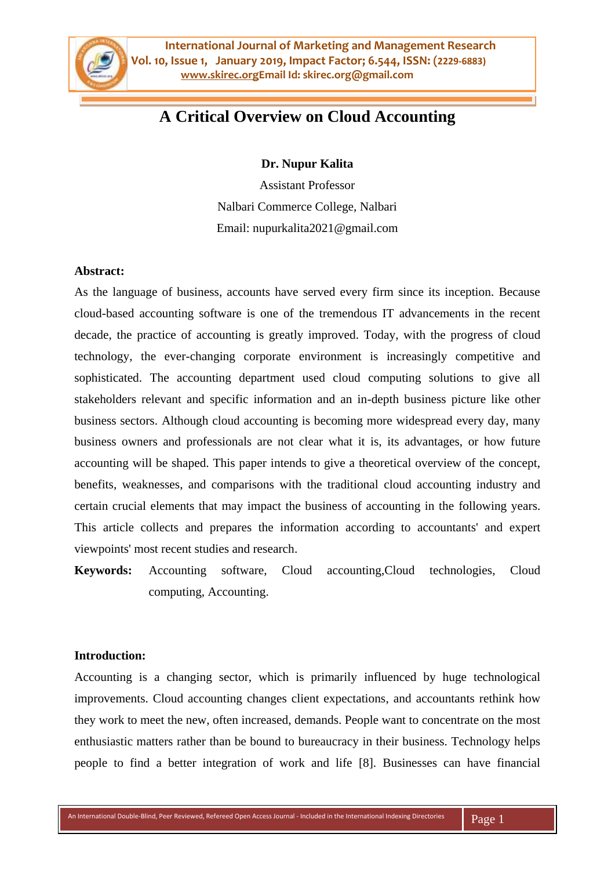

# **A Critical Overview on Cloud Accounting**

**Dr. Nupur Kalita**

Assistant Professor Nalbari Commerce College, Nalbari Email: nupurkalita2021@gmail.com

### **Abstract:**

As the language of business, accounts have served every firm since its inception. Because cloud-based accounting software is one of the tremendous IT advancements in the recent decade, the practice of accounting is greatly improved. Today, with the progress of cloud technology, the ever-changing corporate environment is increasingly competitive and sophisticated. The accounting department used cloud computing solutions to give all stakeholders relevant and specific information and an in-depth business picture like other business sectors. Although cloud accounting is becoming more widespread every day, many business owners and professionals are not clear what it is, its advantages, or how future accounting will be shaped. This paper intends to give a theoretical overview of the concept, benefits, weaknesses, and comparisons with the traditional cloud accounting industry and certain crucial elements that may impact the business of accounting in the following years. This article collects and prepares the information according to accountants' and expert viewpoints' most recent studies and research.

**Keywords:** Accounting software, Cloud accounting,Cloud technologies, Cloud computing, Accounting.

#### **Introduction:**

Accounting is a changing sector, which is primarily influenced by huge technological improvements. Cloud accounting changes client expectations, and accountants rethink how they work to meet the new, often increased, demands. People want to concentrate on the most enthusiastic matters rather than be bound to bureaucracy in their business. Technology helps people to find a better integration of work and life [8]. Businesses can have financial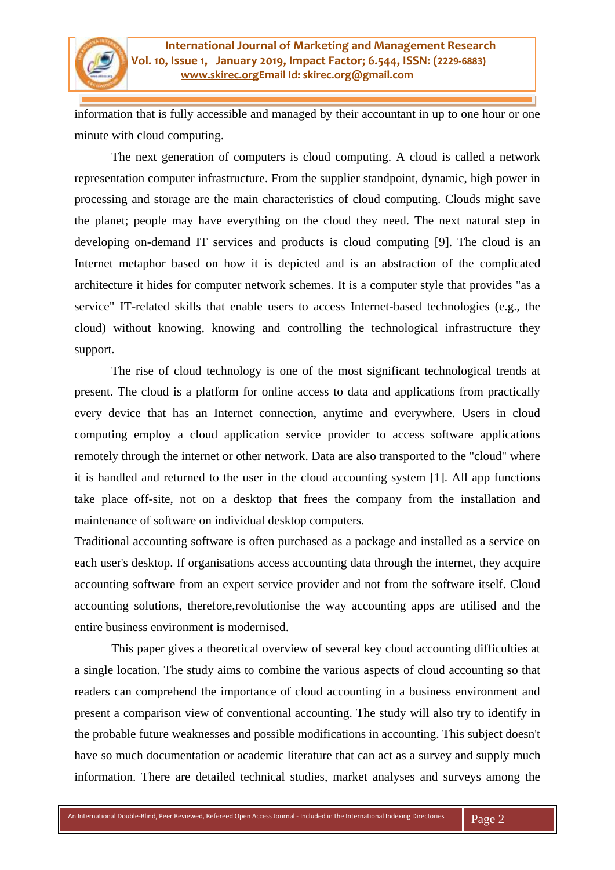information that is fully accessible and managed by their accountant in up to one hour or one minute with cloud computing.

The next generation of computers is cloud computing. A cloud is called a network representation computer infrastructure. From the supplier standpoint, dynamic, high power in processing and storage are the main characteristics of cloud computing. Clouds might save the planet; people may have everything on the cloud they need. The next natural step in developing on-demand IT services and products is cloud computing [9]. The cloud is an Internet metaphor based on how it is depicted and is an abstraction of the complicated architecture it hides for computer network schemes. It is a computer style that provides "as a service" IT-related skills that enable users to access Internet-based technologies (e.g., the cloud) without knowing, knowing and controlling the technological infrastructure they support.

The rise of cloud technology is one of the most significant technological trends at present. The cloud is a platform for online access to data and applications from practically every device that has an Internet connection, anytime and everywhere. Users in cloud computing employ a cloud application service provider to access software applications remotely through the internet or other network. Data are also transported to the "cloud" where it is handled and returned to the user in the cloud accounting system [1]. All app functions take place off-site, not on a desktop that frees the company from the installation and maintenance of software on individual desktop computers.

Traditional accounting software is often purchased as a package and installed as a service on each user's desktop. If organisations access accounting data through the internet, they acquire accounting software from an expert service provider and not from the software itself. Cloud accounting solutions, therefore,revolutionise the way accounting apps are utilised and the entire business environment is modernised.

This paper gives a theoretical overview of several key cloud accounting difficulties at a single location. The study aims to combine the various aspects of cloud accounting so that readers can comprehend the importance of cloud accounting in a business environment and present a comparison view of conventional accounting. The study will also try to identify in the probable future weaknesses and possible modifications in accounting. This subject doesn't have so much documentation or academic literature that can act as a survey and supply much information. There are detailed technical studies, market analyses and surveys among the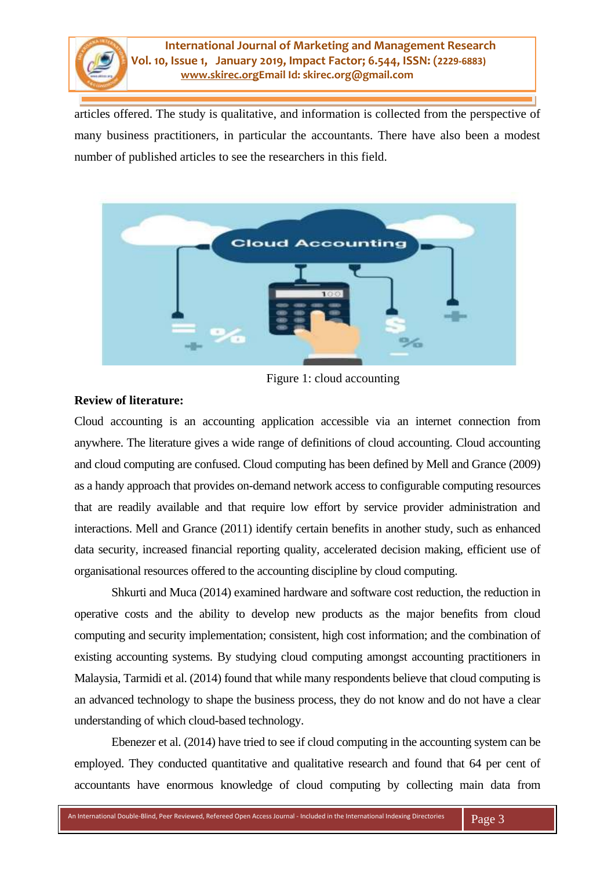

articles offered. The study is qualitative, and information is collected from the perspective of many business practitioners, in particular the accountants. There have also been a modest number of published articles to see the researchers in this field.



Figure 1: cloud accounting

### **Review of literature:**

Cloud accounting is an accounting application accessible via an internet connection from anywhere. The literature gives a wide range of definitions of cloud accounting. Cloud accounting and cloud computing are confused. Cloud computing has been defined by Mell and Grance (2009) as a handy approach that provides on-demand network access to configurable computing resources that are readily available and that require low effort by service provider administration and interactions. Mell and Grance (2011) identify certain benefits in another study, such as enhanced data security, increased financial reporting quality, accelerated decision making, efficient use of organisational resources offered to the accounting discipline by cloud computing.

Shkurti and Muca (2014) examined hardware and software cost reduction, the reduction in operative costs and the ability to develop new products as the major benefits from cloud computing and security implementation; consistent, high cost information; and the combination of existing accounting systems. By studying cloud computing amongst accounting practitioners in Malaysia, Tarmidi et al. (2014) found that while many respondents believe that cloud computing is an advanced technology to shape the business process, they do not know and do not have a clear understanding of which cloud-based technology.

Ebenezer et al. (2014) have tried to see if cloud computing in the accounting system can be employed. They conducted quantitative and qualitative research and found that 64 per cent of accountants have enormous knowledge of cloud computing by collecting main data from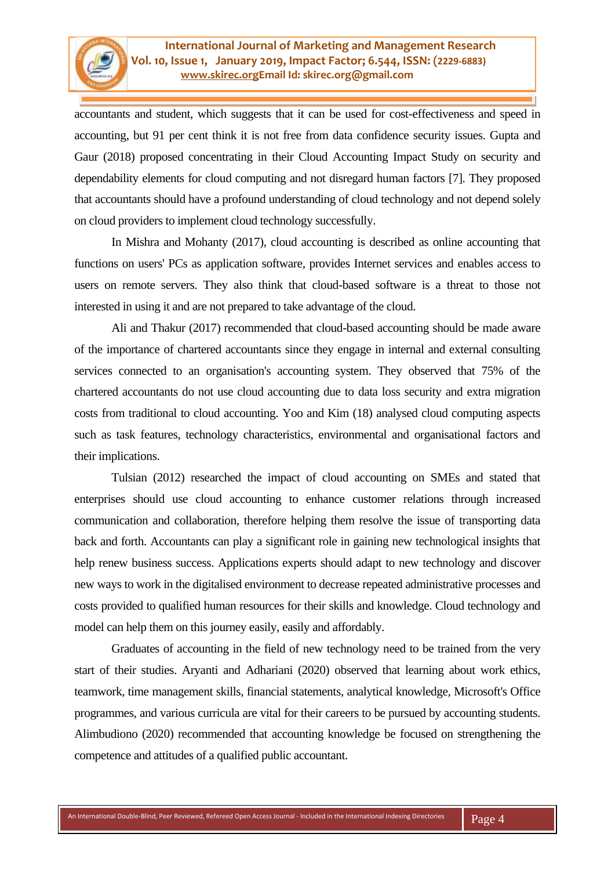accountants and student, which suggests that it can be used for cost-effectiveness and speed in accounting, but 91 per cent think it is not free from data confidence security issues. Gupta and Gaur (2018) proposed concentrating in their Cloud Accounting Impact Study on security and dependability elements for cloud computing and not disregard human factors [7]. They proposed that accountants should have a profound understanding of cloud technology and not depend solely on cloud providers to implement cloud technology successfully.

In Mishra and Mohanty (2017), cloud accounting is described as online accounting that functions on users' PCs as application software, provides Internet services and enables access to users on remote servers. They also think that cloud-based software is a threat to those not interested in using it and are not prepared to take advantage of the cloud.

Ali and Thakur (2017) recommended that cloud-based accounting should be made aware of the importance of chartered accountants since they engage in internal and external consulting services connected to an organisation's accounting system. They observed that 75% of the chartered accountants do not use cloud accounting due to data loss security and extra migration costs from traditional to cloud accounting. Yoo and Kim (18) analysed cloud computing aspects such as task features, technology characteristics, environmental and organisational factors and their implications.

Tulsian (2012) researched the impact of cloud accounting on SMEs and stated that enterprises should use cloud accounting to enhance customer relations through increased communication and collaboration, therefore helping them resolve the issue of transporting data back and forth. Accountants can play a significant role in gaining new technological insights that help renew business success. Applications experts should adapt to new technology and discover new ways to work in the digitalised environment to decrease repeated administrative processes and costs provided to qualified human resources for their skills and knowledge. Cloud technology and model can help them on this journey easily, easily and affordably.

Graduates of accounting in the field of new technology need to be trained from the very start of their studies. Aryanti and Adhariani (2020) observed that learning about work ethics, teamwork, time management skills, financial statements, analytical knowledge, Microsoft's Office programmes, and various curricula are vital for their careers to be pursued by accounting students. Alimbudiono (2020) recommended that accounting knowledge be focused on strengthening the competence and attitudes of a qualified public accountant.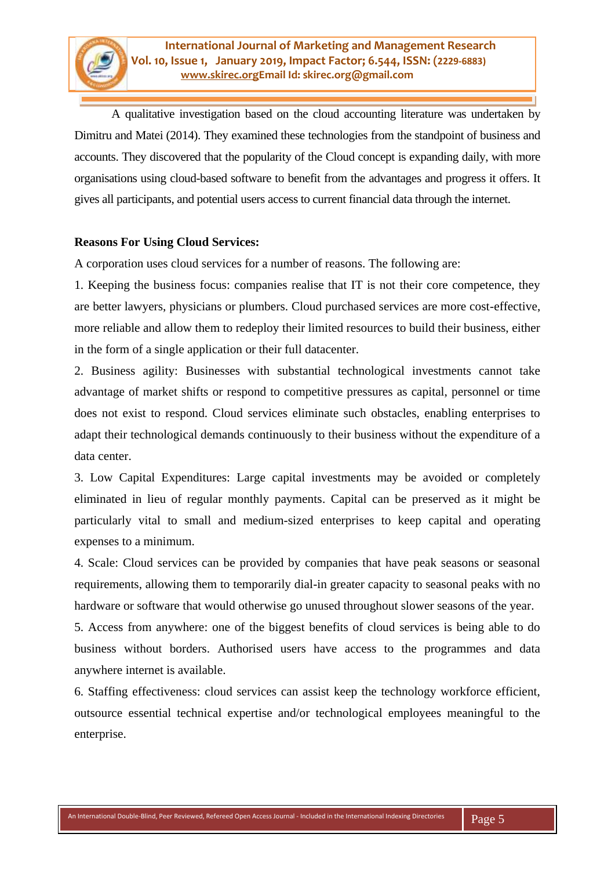A qualitative investigation based on the cloud accounting literature was undertaken by Dimitru and Matei (2014). They examined these technologies from the standpoint of business and accounts. They discovered that the popularity of the Cloud concept is expanding daily, with more organisations using cloud-based software to benefit from the advantages and progress it offers. It gives all participants, and potential users access to current financial data through the internet.

# **Reasons For Using Cloud Services:**

A corporation uses cloud services for a number of reasons. The following are:

1. Keeping the business focus: companies realise that IT is not their core competence, they are better lawyers, physicians or plumbers. Cloud purchased services are more cost-effective, more reliable and allow them to redeploy their limited resources to build their business, either in the form of a single application or their full datacenter.

2. Business agility: Businesses with substantial technological investments cannot take advantage of market shifts or respond to competitive pressures as capital, personnel or time does not exist to respond. Cloud services eliminate such obstacles, enabling enterprises to adapt their technological demands continuously to their business without the expenditure of a data center.

3. Low Capital Expenditures: Large capital investments may be avoided or completely eliminated in lieu of regular monthly payments. Capital can be preserved as it might be particularly vital to small and medium-sized enterprises to keep capital and operating expenses to a minimum.

4. Scale: Cloud services can be provided by companies that have peak seasons or seasonal requirements, allowing them to temporarily dial-in greater capacity to seasonal peaks with no hardware or software that would otherwise go unused throughout slower seasons of the year.

5. Access from anywhere: one of the biggest benefits of cloud services is being able to do business without borders. Authorised users have access to the programmes and data anywhere internet is available.

6. Staffing effectiveness: cloud services can assist keep the technology workforce efficient, outsource essential technical expertise and/or technological employees meaningful to the enterprise.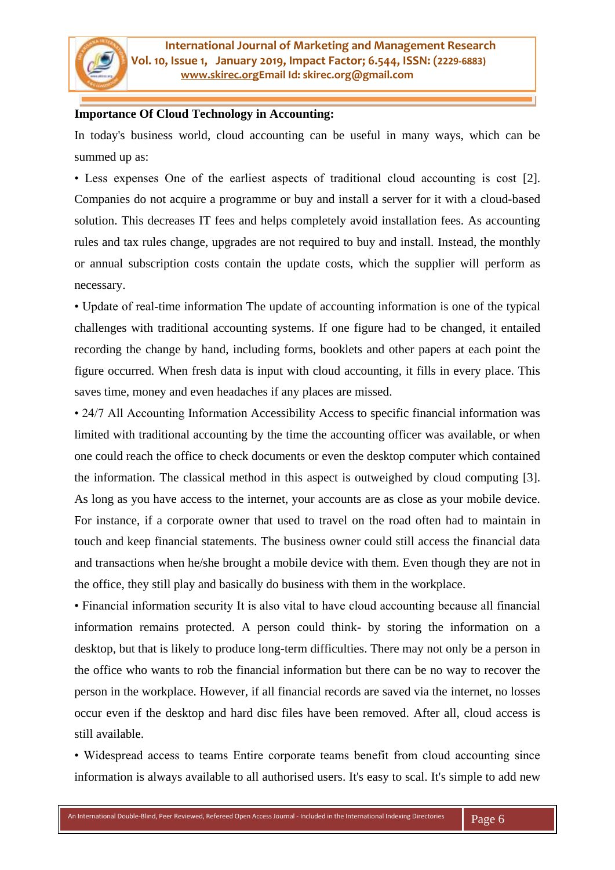### **Importance Of Cloud Technology in Accounting:**

In today's business world, cloud accounting can be useful in many ways, which can be summed up as:

• Less expenses One of the earliest aspects of traditional cloud accounting is cost [2]. Companies do not acquire a programme or buy and install a server for it with a cloud-based solution. This decreases IT fees and helps completely avoid installation fees. As accounting rules and tax rules change, upgrades are not required to buy and install. Instead, the monthly or annual subscription costs contain the update costs, which the supplier will perform as necessary.

• Update of real-time information The update of accounting information is one of the typical challenges with traditional accounting systems. If one figure had to be changed, it entailed recording the change by hand, including forms, booklets and other papers at each point the figure occurred. When fresh data is input with cloud accounting, it fills in every place. This saves time, money and even headaches if any places are missed.

• 24/7 All Accounting Information Accessibility Access to specific financial information was limited with traditional accounting by the time the accounting officer was available, or when one could reach the office to check documents or even the desktop computer which contained the information. The classical method in this aspect is outweighed by cloud computing [3]. As long as you have access to the internet, your accounts are as close as your mobile device. For instance, if a corporate owner that used to travel on the road often had to maintain in touch and keep financial statements. The business owner could still access the financial data and transactions when he/she brought a mobile device with them. Even though they are not in the office, they still play and basically do business with them in the workplace.

• Financial information security It is also vital to have cloud accounting because all financial information remains protected. A person could think- by storing the information on a desktop, but that is likely to produce long-term difficulties. There may not only be a person in the office who wants to rob the financial information but there can be no way to recover the person in the workplace. However, if all financial records are saved via the internet, no losses occur even if the desktop and hard disc files have been removed. After all, cloud access is still available.

• Widespread access to teams Entire corporate teams benefit from cloud accounting since information is always available to all authorised users. It's easy to scal. It's simple to add new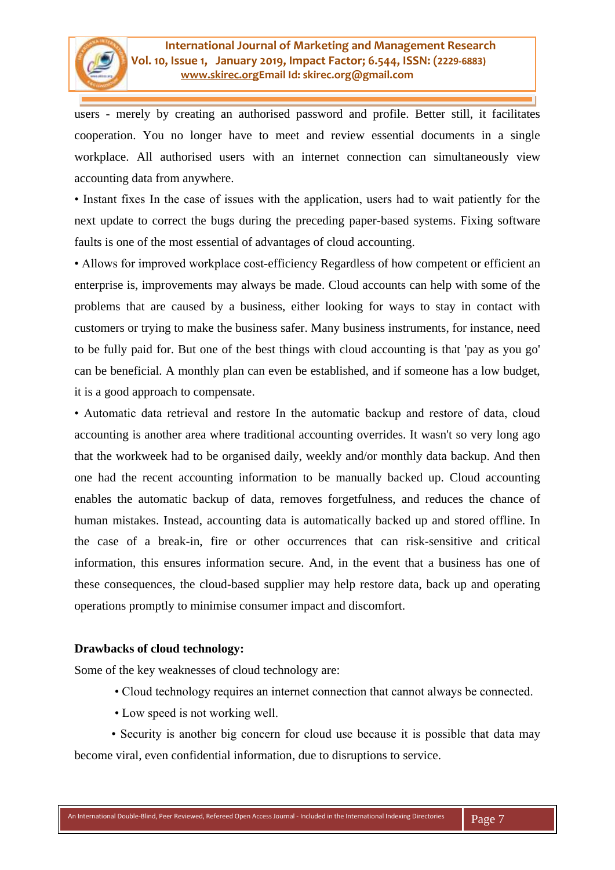users - merely by creating an authorised password and profile. Better still, it facilitates cooperation. You no longer have to meet and review essential documents in a single workplace. All authorised users with an internet connection can simultaneously view accounting data from anywhere.

• Instant fixes In the case of issues with the application, users had to wait patiently for the next update to correct the bugs during the preceding paper-based systems. Fixing software faults is one of the most essential of advantages of cloud accounting.

• Allows for improved workplace cost-efficiency Regardless of how competent or efficient an enterprise is, improvements may always be made. Cloud accounts can help with some of the problems that are caused by a business, either looking for ways to stay in contact with customers or trying to make the business safer. Many business instruments, for instance, need to be fully paid for. But one of the best things with cloud accounting is that 'pay as you go' can be beneficial. A monthly plan can even be established, and if someone has a low budget, it is a good approach to compensate.

• Automatic data retrieval and restore In the automatic backup and restore of data, cloud accounting is another area where traditional accounting overrides. It wasn't so very long ago that the workweek had to be organised daily, weekly and/or monthly data backup. And then one had the recent accounting information to be manually backed up. Cloud accounting enables the automatic backup of data, removes forgetfulness, and reduces the chance of human mistakes. Instead, accounting data is automatically backed up and stored offline. In the case of a break-in, fire or other occurrences that can risk-sensitive and critical information, this ensures information secure. And, in the event that a business has one of these consequences, the cloud-based supplier may help restore data, back up and operating operations promptly to minimise consumer impact and discomfort.

# **Drawbacks of cloud technology:**

Some of the key weaknesses of cloud technology are:

- Cloud technology requires an internet connection that cannot always be connected.
- Low speed is not working well.

• Security is another big concern for cloud use because it is possible that data may become viral, even confidential information, due to disruptions to service.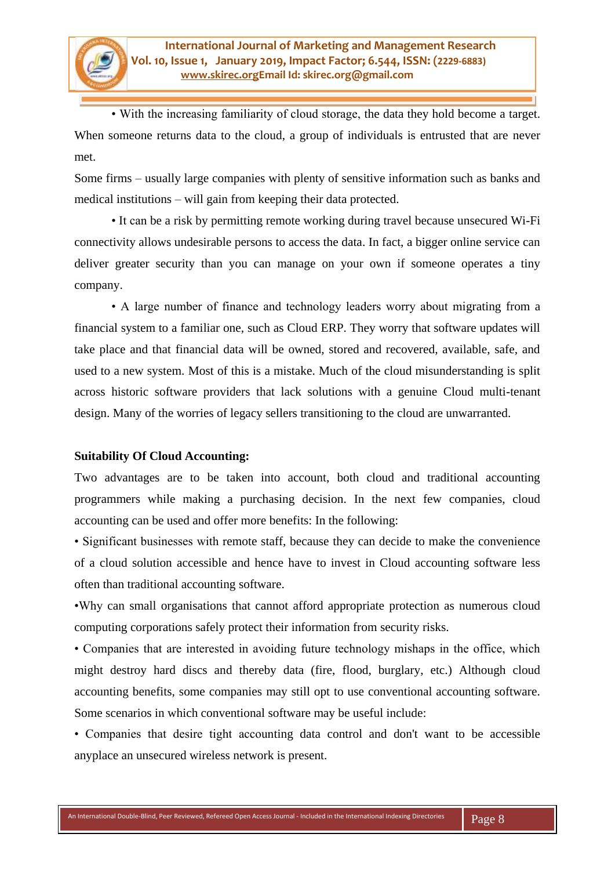• With the increasing familiarity of cloud storage, the data they hold become a target. When someone returns data to the cloud, a group of individuals is entrusted that are never met.

Some firms – usually large companies with plenty of sensitive information such as banks and medical institutions – will gain from keeping their data protected.

• It can be a risk by permitting remote working during travel because unsecured Wi-Fi connectivity allows undesirable persons to access the data. In fact, a bigger online service can deliver greater security than you can manage on your own if someone operates a tiny company.

• A large number of finance and technology leaders worry about migrating from a financial system to a familiar one, such as Cloud ERP. They worry that software updates will take place and that financial data will be owned, stored and recovered, available, safe, and used to a new system. Most of this is a mistake. Much of the cloud misunderstanding is split across historic software providers that lack solutions with a genuine Cloud multi-tenant design. Many of the worries of legacy sellers transitioning to the cloud are unwarranted.

### **Suitability Of Cloud Accounting:**

Two advantages are to be taken into account, both cloud and traditional accounting programmers while making a purchasing decision. In the next few companies, cloud accounting can be used and offer more benefits: In the following:

• Significant businesses with remote staff, because they can decide to make the convenience of a cloud solution accessible and hence have to invest in Cloud accounting software less often than traditional accounting software.

•Why can small organisations that cannot afford appropriate protection as numerous cloud computing corporations safely protect their information from security risks.

• Companies that are interested in avoiding future technology mishaps in the office, which might destroy hard discs and thereby data (fire, flood, burglary, etc.) Although cloud accounting benefits, some companies may still opt to use conventional accounting software. Some scenarios in which conventional software may be useful include:

• Companies that desire tight accounting data control and don't want to be accessible anyplace an unsecured wireless network is present.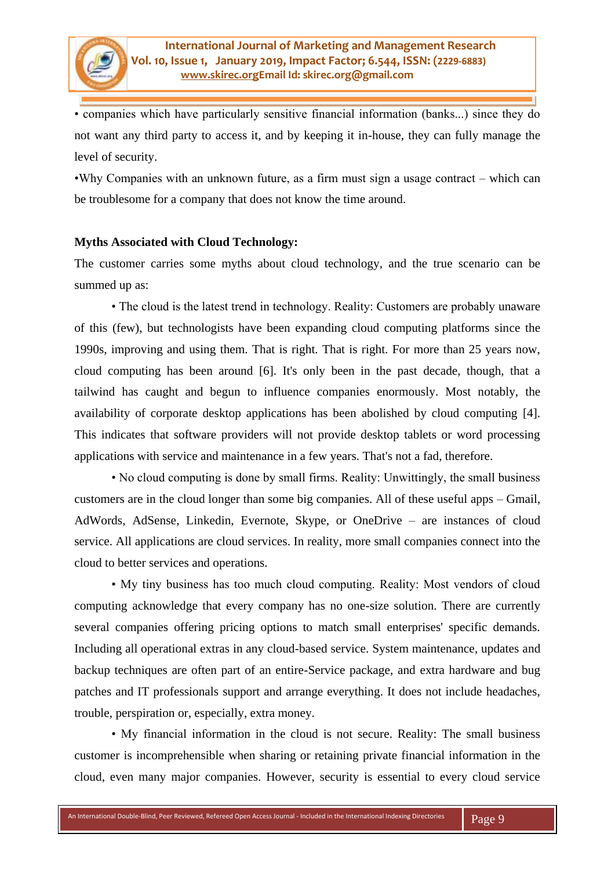• companies which have particularly sensitive financial information (banks...) since they do not want any third party to access it, and by keeping it in-house, they can fully manage the level of security.

•Why Companies with an unknown future, as a firm must sign a usage contract – which can be troublesome for a company that does not know the time around.

### **Myths Associated with Cloud Technology:**

The customer carries some myths about cloud technology, and the true scenario can be summed up as:

• The cloud is the latest trend in technology. Reality: Customers are probably unaware of this (few), but technologists have been expanding cloud computing platforms since the 1990s, improving and using them. That is right. That is right. For more than 25 years now, cloud computing has been around [6]. It's only been in the past decade, though, that a tailwind has caught and begun to influence companies enormously. Most notably, the availability of corporate desktop applications has been abolished by cloud computing [4]. This indicates that software providers will not provide desktop tablets or word processing applications with service and maintenance in a few years. That's not a fad, therefore.

• No cloud computing is done by small firms. Reality: Unwittingly, the small business customers are in the cloud longer than some big companies. All of these useful apps – Gmail, AdWords, AdSense, Linkedin, Evernote, Skype, or OneDrive – are instances of cloud service. All applications are cloud services. In reality, more small companies connect into the cloud to better services and operations.

• My tiny business has too much cloud computing. Reality: Most vendors of cloud computing acknowledge that every company has no one-size solution. There are currently several companies offering pricing options to match small enterprises' specific demands. Including all operational extras in any cloud-based service. System maintenance, updates and backup techniques are often part of an entire-Service package, and extra hardware and bug patches and IT professionals support and arrange everything. It does not include headaches, trouble, perspiration or, especially, extra money.

• My financial information in the cloud is not secure. Reality: The small business customer is incomprehensible when sharing or retaining private financial information in the cloud, even many major companies. However, security is essential to every cloud service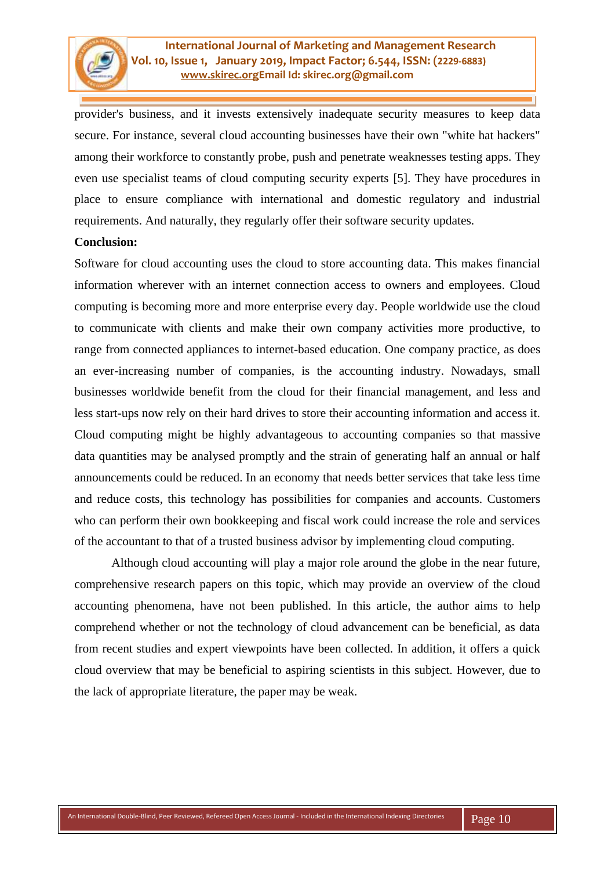provider's business, and it invests extensively inadequate security measures to keep data secure. For instance, several cloud accounting businesses have their own "white hat hackers" among their workforce to constantly probe, push and penetrate weaknesses testing apps. They even use specialist teams of cloud computing security experts [5]. They have procedures in place to ensure compliance with international and domestic regulatory and industrial requirements. And naturally, they regularly offer their software security updates.

### **Conclusion:**

Software for cloud accounting uses the cloud to store accounting data. This makes financial information wherever with an internet connection access to owners and employees. Cloud computing is becoming more and more enterprise every day. People worldwide use the cloud to communicate with clients and make their own company activities more productive, to range from connected appliances to internet-based education. One company practice, as does an ever-increasing number of companies, is the accounting industry. Nowadays, small businesses worldwide benefit from the cloud for their financial management, and less and less start-ups now rely on their hard drives to store their accounting information and access it. Cloud computing might be highly advantageous to accounting companies so that massive data quantities may be analysed promptly and the strain of generating half an annual or half announcements could be reduced. In an economy that needs better services that take less time and reduce costs, this technology has possibilities for companies and accounts. Customers who can perform their own bookkeeping and fiscal work could increase the role and services of the accountant to that of a trusted business advisor by implementing cloud computing.

Although cloud accounting will play a major role around the globe in the near future, comprehensive research papers on this topic, which may provide an overview of the cloud accounting phenomena, have not been published. In this article, the author aims to help comprehend whether or not the technology of cloud advancement can be beneficial, as data from recent studies and expert viewpoints have been collected. In addition, it offers a quick cloud overview that may be beneficial to aspiring scientists in this subject. However, due to the lack of appropriate literature, the paper may be weak.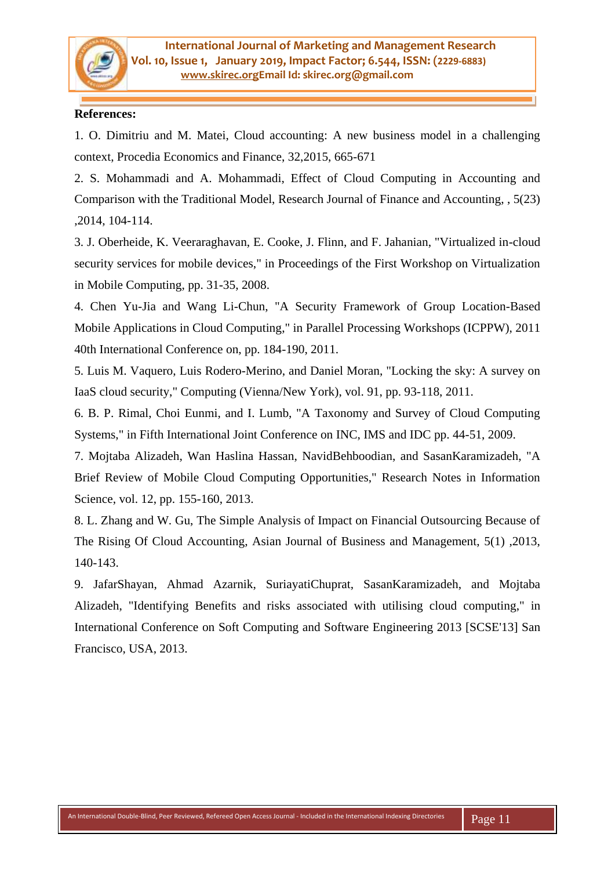## **References:**

1. O. Dimitriu and M. Matei, Cloud accounting: A new business model in a challenging context, Procedia Economics and Finance, 32,2015, 665-671

2. S. Mohammadi and A. Mohammadi, Effect of Cloud Computing in Accounting and Comparison with the Traditional Model, Research Journal of Finance and Accounting, , 5(23) ,2014, 104-114.

3. J. Oberheide, K. Veeraraghavan, E. Cooke, J. Flinn, and F. Jahanian, "Virtualized in-cloud security services for mobile devices," in Proceedings of the First Workshop on Virtualization in Mobile Computing, pp. 31-35, 2008.

4. Chen Yu-Jia and Wang Li-Chun, "A Security Framework of Group Location-Based Mobile Applications in Cloud Computing," in Parallel Processing Workshops (ICPPW), 2011 40th International Conference on, pp. 184-190, 2011.

5. Luis M. Vaquero, Luis Rodero-Merino, and Daniel Moran, "Locking the sky: A survey on IaaS cloud security," Computing (Vienna/New York), vol. 91, pp. 93-118, 2011.

6. B. P. Rimal, Choi Eunmi, and I. Lumb, "A Taxonomy and Survey of Cloud Computing Systems," in Fifth International Joint Conference on INC, IMS and IDC pp. 44-51, 2009.

7. Mojtaba Alizadeh, Wan Haslina Hassan, NavidBehboodian, and SasanKaramizadeh, "A Brief Review of Mobile Cloud Computing Opportunities," Research Notes in Information Science, vol. 12, pp. 155-160, 2013.

8. L. Zhang and W. Gu, The Simple Analysis of Impact on Financial Outsourcing Because of The Rising Of Cloud Accounting, Asian Journal of Business and Management, 5(1) ,2013, 140-143.

9. JafarShayan, Ahmad Azarnik, SuriayatiChuprat, SasanKaramizadeh, and Mojtaba Alizadeh, "Identifying Benefits and risks associated with utilising cloud computing," in International Conference on Soft Computing and Software Engineering 2013 [SCSE'13] San Francisco, USA, 2013.